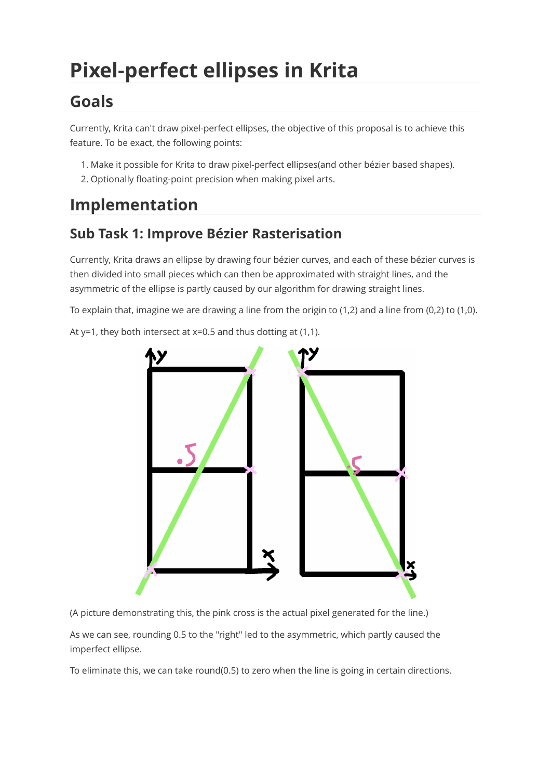# **Pixel-perfect ellipses in Krita**

# **Goals**

Currently, Krita can't draw pixel-perfect ellipses, the objective of this proposal is to achieve this feature. To be exact, the following points:

- 1. Make it possible for Krita to draw pixel-perfect ellipses(and other bézier based shapes).
- 2. Optionally floating-point precision when making pixel arts.

# **Implementation**

#### **Sub Task 1: Improve Bézier Rasterisation**

Currently, Krita draws an ellipse by drawing four bézier curves, and each of these bézier curves is then divided into small pieces which can then be approximated with straight lines, and the asymmetric of the ellipse is partly caused by our algorithm for drawing straight lines.

To explain that, imagine we are drawing a line from the origin to (1,2) and a line from (0,2) to (1,0).

At  $y=1$ , they both intersect at  $x=0.5$  and thus dotting at (1,1).

<span id="page-0-0"></span>

(A picture demonstrating this, the pink cross is the actual pixel generated for the line.)

As we can see, rounding 0.5 to the "right" led to the asymmetric, which partly caused the imperfect ellipse.

To eliminate this, we can take round(0.5) to zero when the line is going in certain directions.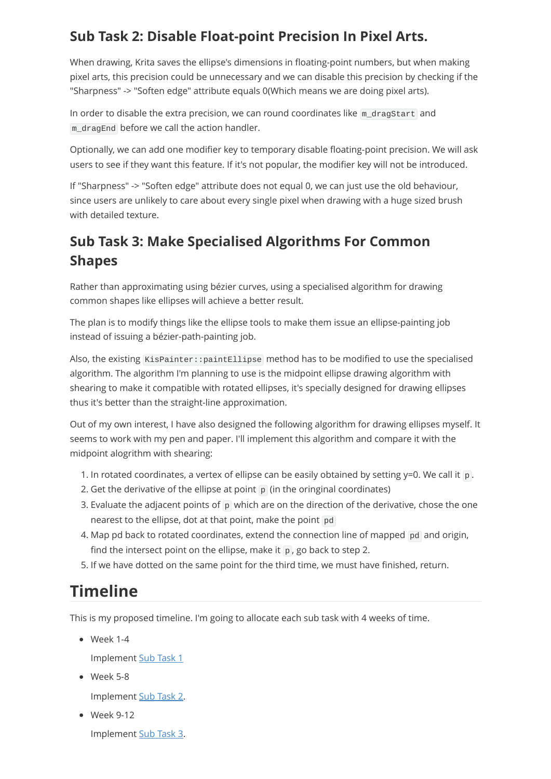#### <span id="page-1-0"></span>**Sub Task 2: Disable Float-point Precision In Pixel Arts.**

When drawing, Krita saves the ellipse's dimensions in floating-point numbers, but when making pixel arts, this precision could be unnecessary and we can disable this precision by checking if the "Sharpness" -> "Soften edge" attribute equals 0(Which means we are doing pixel arts).

In order to disable the extra precision, we can round coordinates like m\_dragStart and m dragEnd before we call the action handler.

Optionally, we can add one modifier key to temporary disable floating-point precision. We will ask users to see if they want this feature. If it's not popular, the modifier key will not be introduced.

If "Sharpness" -> "Soften edge" attribute does not equal 0, we can just use the old behaviour, since users are unlikely to care about every single pixel when drawing with a huge sized brush with detailed texture.

#### **Sub Task 3: Make Specialised Algorithms For Common Shapes**

Rather than approximating using bézier curves, using a specialised algorithm for drawing common shapes like ellipses will achieve a better result.

The plan is to modify things like the ellipse tools to make them issue an ellipse-painting job instead of issuing a bézier-path-painting job.

Also, the existing KisPainter::paintEllipse method has to be modified to use the specialised algorithm. The algorithm I'm planning to use is the midpoint ellipse drawing algorithm with shearing to make it compatible with rotated ellipses, it's specially designed for drawing ellipses thus it's better than the straight-line approximation.

Out of my own interest, I have also designed the following algorithm for drawing ellipses myself. It seems to work with my pen and paper. I'll implement this algorithm and compare it with the midpoint alogrithm with shearing:

- 1. In rotated coordinates, a vertex of ellipse can be easily obtained by setting  $y=0$ . We call it p.
- 2. Get the derivative of the ellipse at point  $\mathbf p$  (in the oringinal coordinates)
- 3. Evaluate the adjacent points of  $\overline{p}$  which are on the direction of the derivative, chose the one nearest to the ellipse, dot at that point, make the point pd
- 4. Map pd back to rotated coordinates, extend the connection line of mapped pd and origin, find the intersect point on the ellipse, make it  $\overline{p}$ , go back to step 2.
- 5. If we have dotted on the same point for the third time, we must have finished, return.

## **Timeline**

This is my proposed timeline. I'm going to allocate each sub task with 4 weeks of time.

Week 1-4

Implement [Sub Task 1](#page-0-0)

Week 5-8

Implement [Sub Task 2](#page-1-0).

Week 9-12

Implement Sub Task 3.